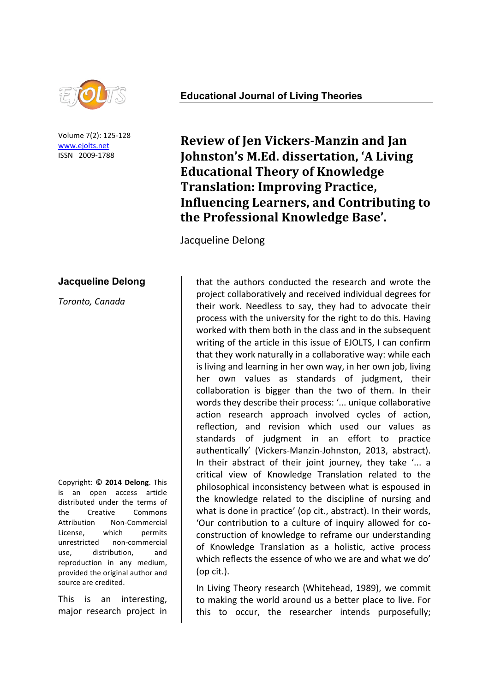

Volume 7(2): 125-128 www.ejolts.net ISSN 2009-1788

## **Jacqueline Delong**

*Toronto,'Canada*

Copyright:!**©! 2014 Delong**.!This! is an open access article distributed under the terms of the Creative Commons Attribution Non-Commercial License, which permits unrestricted non-commercial use, distribution, and reproduction in any medium. provided the original author and source are credited.

This is an interesting, major research project in

## **Educational Journal of Living Theories**

**Review of Jen Vickers-Manzin and Jan Johnston's M.Ed. dissertation, 'A Living Educational Theory of Knowledge Translation: Improving Practice, Influencing Learners, and Contributing to** the Professional Knowledge Base'.

Jacqueline Delong

that the authors conducted the research and wrote the project collaboratively and received individual degrees for their work. Needless to say, they had to advocate their process with the university for the right to do this. Having worked with them both in the class and in the subsequent writing of the article in this issue of EJOLTS, I can confirm that they work naturally in a collaborative way: while each is living and learning in her own way, in her own job, living her own values as standards of judgment, their collaboration is bigger than the two of them. In their words they describe their process: '... unique collaborative action research approach involved cycles of action, reflection, and revision which used our values as standards of judgment in an effort to practice authentically' (Vickers-Manzin-Johnston, 2013, abstract). In their abstract of their joint journey, they take '... a critical view of Knowledge Translation related to the philosophical inconsistency between what is espoused in the knowledge related to the discipline of nursing and what is done in practice' (op cit., abstract). In their words, 'Our contribution to a culture of inquiry allowed for coconstruction of knowledge to reframe our understanding of Knowledge Translation as a holistic, active process which reflects the essence of who we are and what we do' (op  $cit.$ ).

In Living Theory research (Whitehead, 1989), we commit to making the world around us a better place to live. For this to occur, the researcher intends purposefully;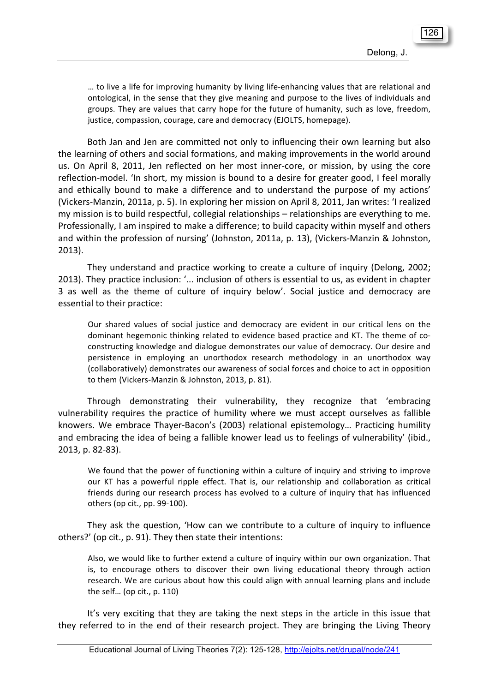... to live a life for improving humanity by living life-enhancing values that are relational and ontological, in the sense that they give meaning and purpose to the lives of individuals and groups. They are values that carry hope for the future of humanity, such as love, freedom, justice, compassion, courage, care and democracy (EJOLTS, homepage).

Both Jan and Jen are committed not only to influencing their own learning but also the learning of others and social formations, and making improvements in the world around us. On April 8, 2011, Jen reflected on her most inner-core, or mission, by using the core reflection-model. 'In short, my mission is bound to a desire for greater good, I feel morally and ethically bound to make a difference and to understand the purpose of my actions' (Vickers-Manzin, 2011a, p. 5). In exploring her mission on April 8, 2011, Jan writes: 'I realized my mission is to build respectful, collegial relationships – relationships are everything to me. Professionally, I am inspired to make a difference; to build capacity within myself and others and within the profession of nursing' (Johnston, 2011a, p. 13), (Vickers-Manzin & Johnston, 2013).

They understand and practice working to create a culture of inquiry (Delong, 2002; 2013). They practice inclusion: '... inclusion of others is essential to us, as evident in chapter 3 as well as the theme of culture of inquiry below'. Social justice and democracy are essential to their practice:

Our shared values of social justice and democracy are evident in our critical lens on the dominant hegemonic thinking related to evidence based practice and KT. The theme of coconstructing knowledge and dialogue demonstrates our value of democracy. Our desire and persistence in employing an unorthodox research methodology in an unorthodox way (collaboratively) demonstrates our awareness of social forces and choice to act in opposition to them (Vickers-Manzin & Johnston, 2013, p. 81).

Through demonstrating their vulnerability, they recognize that 'embracing vulnerability requires the practice of humility where we must accept ourselves as fallible knowers. We embrace Thayer-Bacon's (2003) relational epistemology... Practicing humility and embracing the idea of being a fallible knower lead us to feelings of vulnerability' (ibid., 2013, p. 82-83).

We found that the power of functioning within a culture of inquiry and striving to improve our KT has a powerful ripple effect. That is, our relationship and collaboration as critical friends during our research process has evolved to a culture of inquiry that has influenced others (op cit., pp. 99-100).

They ask the question, 'How can we contribute to a culture of inquiry to influence others?' (op cit., p. 91). They then state their intentions:

Also, we would like to further extend a culture of inquiry within our own organization. That is, to encourage others to discover their own living educational theory through action research. We are curious about how this could align with annual learning plans and include the self... (op cit.,  $p. 110$ )

It's very exciting that they are taking the next steps in the article in this issue that they referred to in the end of their research project. They are bringing the Living Theory

128 135 126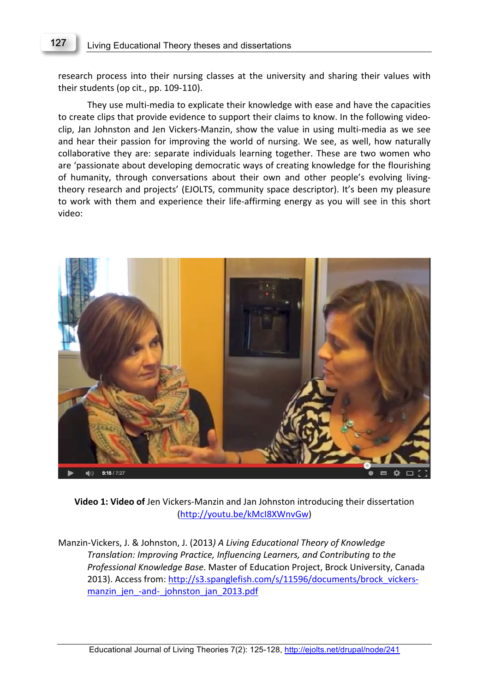## Living Educational Theory theses and dissertations 127

research process into their nursing classes at the university and sharing their values with their students (op cit., pp. 109-110).

They use multi-media to explicate their knowledge with ease and have the capacities to create clips that provide evidence to support their claims to know. In the following videoclip, Jan Johnston and Jen Vickers-Manzin, show the value in using multi-media as we see and hear their passion for improving the world of nursing. We see, as well, how naturally collaborative they are: separate individuals learning together. These are two women who are 'passionate about developing democratic ways of creating knowledge for the flourishing of humanity, through conversations about their own and other people's evolving livingtheory research and projects' (EJOLTS, community space descriptor). It's been my pleasure to work with them and experience their life-affirming energy as you will see in this short video:



**Video 1: Video of** Jen Vickers-Manzin and Jan Johnston introducing their dissertation (http://youtu.be/kMcI8XWnvGw)

Manzin-Vickers, J. & Johnston, J. (2013) A Living Educational Theory of Knowledge *Translation:'Improving'Practice,'Influencing'Learners,'and'Contributing'to'the' Professional Knowledge Base. Master of Education Project, Brock University, Canada* 2013). Access from: http://s3.spanglefish.com/s/11596/documents/brock\_vickersmanzin jen -and- johnston jan 2013.pdf